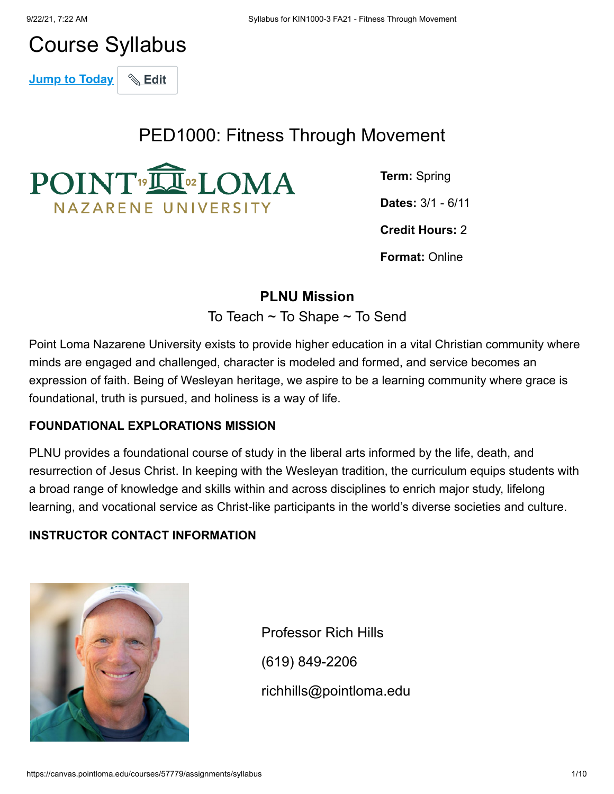# Course Syllabus

**Jump to Today** & Edit

# PED1000: Fitness Through Movement



**Term:** Spring

**Dates:** 3/1 - 6/11

**Credit Hours:** 2

**Format:** Online

# **PLNU Mission**

To Teach ~ To Shape ~ To Send

Point Loma Nazarene University exists to provide higher education in a vital Christian community where minds are engaged and challenged, character is modeled and formed, and service becomes an expression of faith. Being of Wesleyan heritage, we aspire to be a learning community where grace is foundational, truth is pursued, and holiness is a way of life.

# **FOUNDATIONAL EXPLORATIONS MISSION**

PLNU provides a foundational course of study in the liberal arts informed by the life, death, and resurrection of Jesus Christ. In keeping with the Wesleyan tradition, the curriculum equips students with a broad range of knowledge and skills within and across disciplines to enrich major study, lifelong learning, and vocational service as Christ-like participants in the world's diverse societies and culture.

## **INSTRUCTOR CONTACT INFORMATION**



Professor Rich Hills (619) 849-2206 richhills@pointloma.edu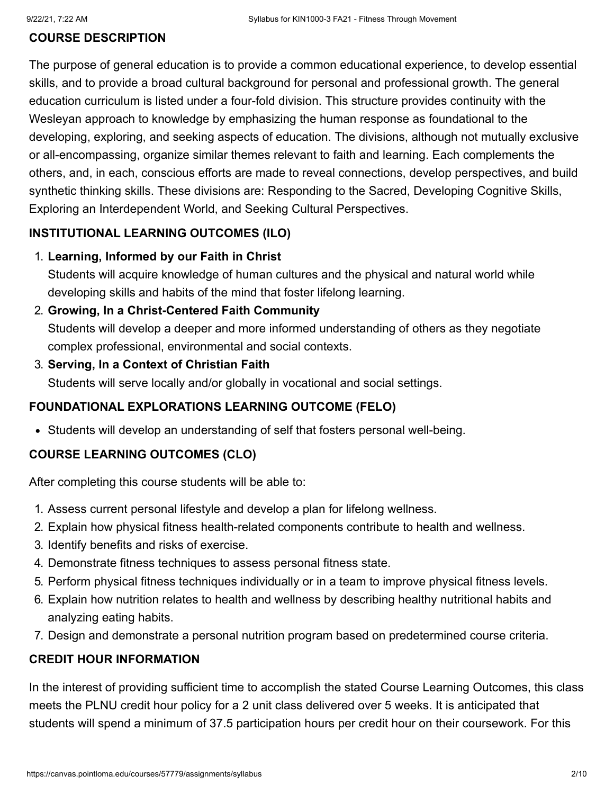#### **COURSE DESCRIPTION**

The purpose of general education is to provide a common educational experience, to develop essential skills, and to provide a broad cultural background for personal and professional growth. The general education curriculum is listed under a four-fold division. This structure provides continuity with the Wesleyan approach to knowledge by emphasizing the human response as foundational to the developing, exploring, and seeking aspects of education. The divisions, although not mutually exclusive or all-encompassing, organize similar themes relevant to faith and learning. Each complements the others, and, in each, conscious efforts are made to reveal connections, develop perspectives, and build synthetic thinking skills. These divisions are: Responding to the Sacred, Developing Cognitive Skills, Exploring an Interdependent World, and Seeking Cultural Perspectives.

### **INSTITUTIONAL LEARNING OUTCOMES (ILO)**

1. **Learning, Informed by our Faith in Christ**

Students will acquire knowledge of human cultures and the physical and natural world while developing skills and habits of the mind that foster lifelong learning.

2. **Growing, In a Christ-Centered Faith Community**

Students will develop a deeper and more informed understanding of others as they negotiate complex professional, environmental and social contexts.

3. **Serving, In a Context of Christian Faith**

Students will serve locally and/or globally in vocational and social settings.

#### **FOUNDATIONAL EXPLORATIONS LEARNING OUTCOME (FELO)**

Students will develop an understanding of self that fosters personal well-being.

#### **COURSE LEARNING OUTCOMES (CLO)**

After completing this course students will be able to:

- 1. Assess current personal lifestyle and develop a plan for lifelong wellness.
- 2. Explain how physical fitness health-related components contribute to health and wellness.
- 3. Identify benefits and risks of exercise.
- 4. Demonstrate fitness techniques to assess personal fitness state.
- 5. Perform physical fitness techniques individually or in a team to improve physical fitness levels.
- 6. Explain how nutrition relates to health and wellness by describing healthy nutritional habits and analyzing eating habits.
- 7. Design and demonstrate a personal nutrition program based on predetermined course criteria.

#### **CREDIT HOUR INFORMATION**

In the interest of providing sufficient time to accomplish the stated Course Learning Outcomes, this class meets the PLNU credit hour policy for a 2 unit class delivered over 5 weeks. It is anticipated that students will spend a minimum of 37.5 participation hours per credit hour on their coursework. For this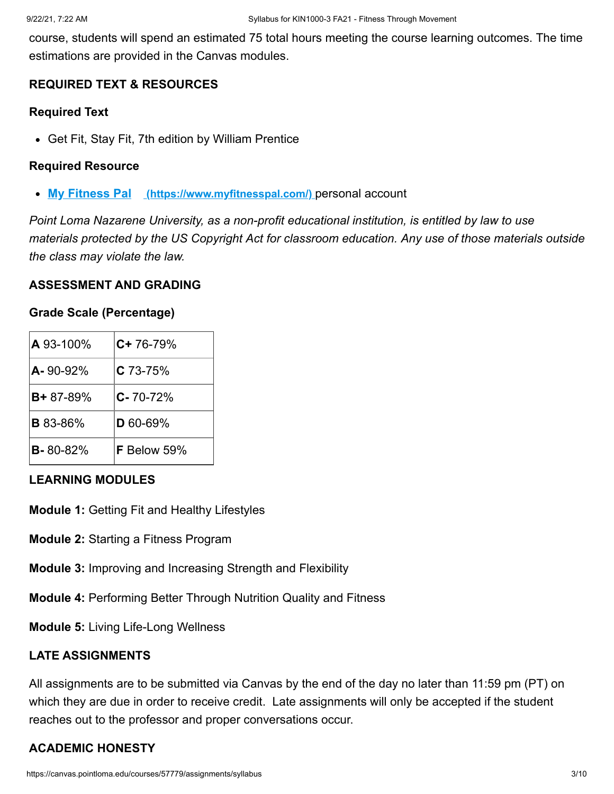course, students will spend an estimated 75 total hours meeting the course learning outcomes. The time estimations are provided in the Canvas modules.

#### **REQUIRED TEXT & RESOURCES**

#### **Required Text**

Get Fit, Stay Fit, 7th edition by William Prentice

#### **Required Resource**

**My Fitness Pal [\(https://www.myfitnesspal.com/\)](https://www.myfitnesspal.com/)** personal account

*Point Loma Nazarene University, as a non-profit educational institution, is entitled by law to use materials protected by the US Copyright Act for classroom education. Any use of those materials outside the class may violate the law.*

#### **ASSESSMENT AND GRADING**

#### **Grade Scale (Percentage)**

| $A$ 93-100%     | $C+76-79%$     |
|-----------------|----------------|
| $A - 90 - 92%$  | C 73-75%       |
| $B + 87 - 89%$  | $C - 70 - 72%$ |
| <b>B</b> 83-86% | D 60-69%       |
| $B - 80 - 82%$  | F Below 59%    |

#### **LEARNING MODULES**

- **Module 1:** Getting Fit and Healthy Lifestyles
- **Module 2:** Starting a Fitness Program
- **Module 3:** Improving and Increasing Strength and Flexibility
- **Module 4:** Performing Better Through Nutrition Quality and Fitness
- **Module 5:** Living Life-Long Wellness

#### **LATE ASSIGNMENTS**

All assignments are to be submitted via Canvas by the end of the day no later than 11:59 pm (PT) on which they are due in order to receive credit. Late assignments will only be accepted if the student reaches out to the professor and proper conversations occur.

# **ACADEMIC HONESTY**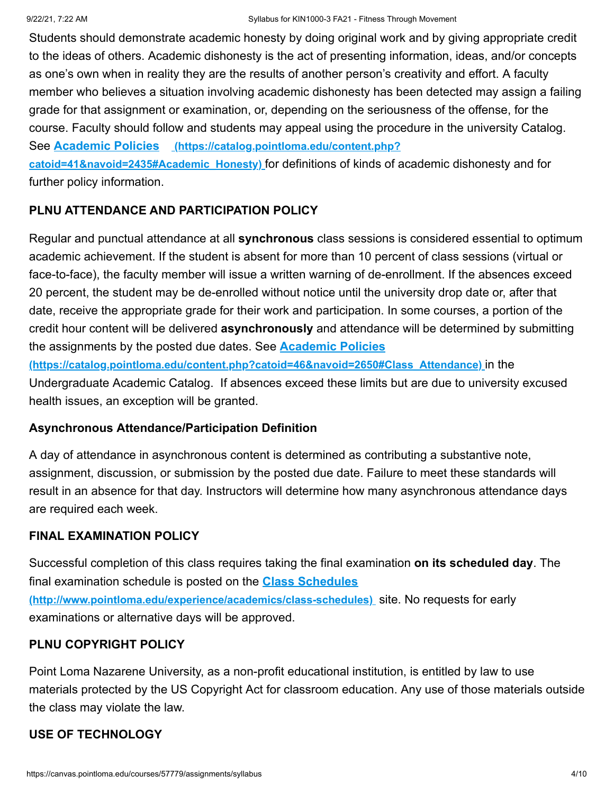Students should demonstrate academic honesty by doing original work and by giving appropriate credit to the ideas of others. Academic dishonesty is the act of presenting information, ideas, and/or concepts as one's own when in reality they are the results of another person's creativity and effort. A faculty member who believes a situation involving academic dishonesty has been detected may assign a failing grade for that assignment or examination, or, depending on the seriousness of the offense, for the course. Faculty should follow and students may appeal using the procedure in the university Catalog. See **Academic Policies (https://catalog.pointloma.edu/content.php? [catoid=41&navoid=2435#Academic\\_Honesty\)](https://catalog.pointloma.edu/content.php?catoid=41&navoid=2435#Academic_Honesty)** for definitions of kinds of academic dishonesty and for

further policy information.

# **PLNU ATTENDANCE AND PARTICIPATION POLICY**

Regular and punctual attendance at all **synchronous** class sessions is considered essential to optimum academic achievement. If the student is absent for more than 10 percent of class sessions (virtual or face-to-face), the faculty member will issue a written warning of de-enrollment. If the absences exceed 20 percent, the student may be de-enrolled without notice until the university drop date or, after that date, receive the appropriate grade for their work and participation. In some courses, a portion of the credit hour content will be delivered **asynchronously** and attendance will be determined by submitting the assignments by the posted due dates. See **Academic Policies**

**[\(https://catalog.pointloma.edu/content.php?catoid=46&navoid=2650#Class\\_Attendance\)](https://catalog.pointloma.edu/content.php?catoid=46&navoid=2650#Class_Attendance)** in the Undergraduate Academic Catalog. If absences exceed these limits but are due to university excused health issues, an exception will be granted.

#### **Asynchronous Attendance/Participation Definition**

A day of attendance in asynchronous content is determined as contributing a substantive note, assignment, discussion, or submission by the posted due date. Failure to meet these standards will result in an absence for that day. Instructors will determine how many asynchronous attendance days are required each week.

#### **FINAL EXAMINATION POLICY**

Successful completion of this class requires taking the final examination **on its scheduled day**. The final examination schedule is posted on the **Class Schedules [\(http://www.pointloma.edu/experience/academics/class-schedules\)](http://www.pointloma.edu/experience/academics/class-schedules)** site. No requests for early examinations or alternative days will be approved.

# **PLNU COPYRIGHT POLICY**

Point Loma Nazarene University, as a non-profit educational institution, is entitled by law to use materials protected by the US Copyright Act for classroom education. Any use of those materials outside the class may violate the law.

# **USE OF TECHNOLOGY**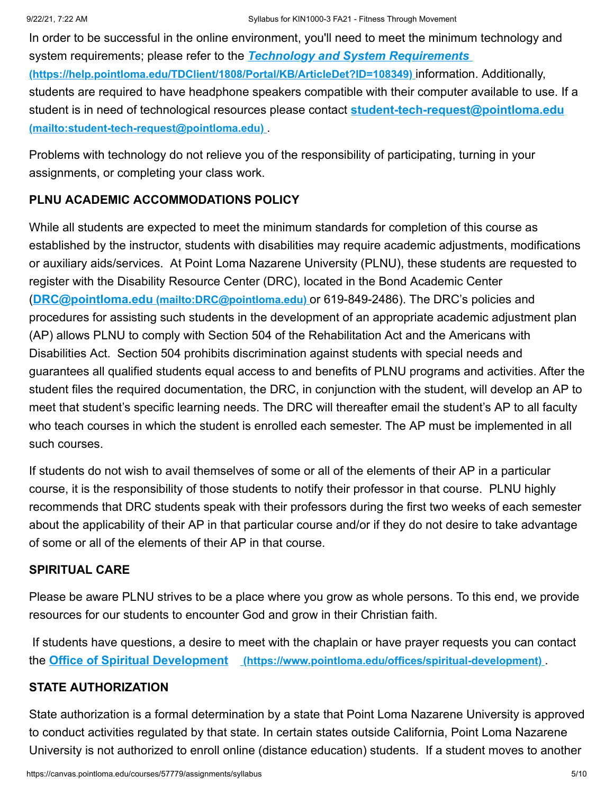In order to be successful in the online environment, you'll need to meet the minimum technology and system requirements; please refer to the *Technology and System Requirements*  **[\(https://help.pointloma.edu/TDClient/1808/Portal/KB/ArticleDet?ID=108349\)](https://help.pointloma.edu/TDClient/1808/Portal/KB/ArticleDet?ID=108349)** information. Additionally, students are required to have headphone speakers compatible with their computer available to use. If a [student is in need of technological resources please contact](mailto:student-tech-request@pointloma.edu) **student-tech-request@pointloma.edu (mailto:student-tech-request@pointloma.edu)** .

Problems with technology do not relieve you of the responsibility of participating, turning in your assignments, or completing your class work.

# **PLNU ACADEMIC ACCOMMODATIONS POLICY**

While all students are expected to meet the minimum standards for completion of this course as established by the instructor, students with disabilities may require academic adjustments, modifications or auxiliary aids/services. At Point Loma Nazarene University (PLNU), these students are requested to register with the Disability Resource Center (DRC), located in the Bond Academic Center (**DRC@pointloma.edu [\(mailto:DRC@pointloma.edu\)](mailto:DRC@pointloma.edu)** or 619-849-2486). The DRC's policies and procedures for assisting such students in the development of an appropriate academic adjustment plan (AP) allows PLNU to comply with Section 504 of the Rehabilitation Act and the Americans with Disabilities Act. Section 504 prohibits discrimination against students with special needs and guarantees all qualified students equal access to and benefits of PLNU programs and activities. After the student files the required documentation, the DRC, in conjunction with the student, will develop an AP to meet that student's specific learning needs. The DRC will thereafter email the student's AP to all faculty who teach courses in which the student is enrolled each semester. The AP must be implemented in all such courses.

If students do not wish to avail themselves of some or all of the elements of their AP in a particular course, it is the responsibility of those students to notify their professor in that course. PLNU highly recommends that DRC students speak with their professors during the first two weeks of each semester about the applicability of their AP in that particular course and/or if they do not desire to take advantage of some or all of the elements of their AP in that course.

# **SPIRITUAL CARE**

Please be aware PLNU strives to be a place where you grow as whole persons. To this end, we provide resources for our students to encounter God and grow in their Christian faith.

If students have questions, a desire to meet with the chaplain or have prayer requests you can contact the **Office of Spiritual Development [\(https://www.pointloma.edu/offices/spiritual-development\)](https://www.pointloma.edu/offices/spiritual-development)** .

# **STATE AUTHORIZATION**

State authorization is a formal determination by a state that Point Loma Nazarene University is approved to conduct activities regulated by that state. In certain states outside California, Point Loma Nazarene University is not authorized to enroll online (distance education) students. If a student moves to another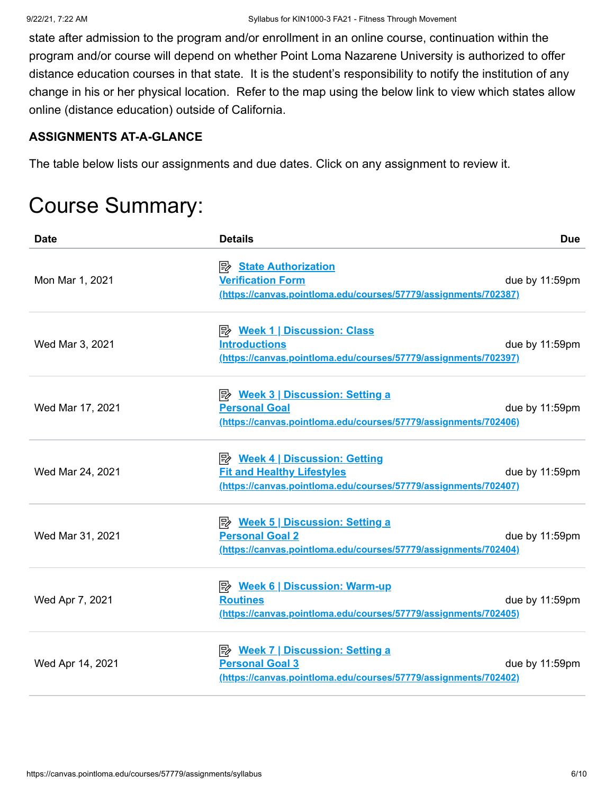state after admission to the program and/or enrollment in an online course, continuation within the program and/or course will depend on whether Point Loma Nazarene University is authorized to offer distance education courses in that state. It is the student's responsibility to notify the institution of any change in his or her physical location. Refer to the map using the below link to view which states allow online (distance education) outside of California.

### **ASSIGNMENTS AT-A-GLANCE**

The table below lists our assignments and due dates. Click on any assignment to review it.

# Course Summary:

| <b>Date</b>      | <b>Details</b>                                                                                                                           | <b>Due</b>     |
|------------------|------------------------------------------------------------------------------------------------------------------------------------------|----------------|
| Mon Mar 1, 2021  | <b>B</b> State Authorization<br><b>Verification Form</b><br>(https://canvas.pointloma.edu/courses/57779/assignments/702387)              | due by 11:59pm |
| Wed Mar 3, 2021  | <b>B</b> Week 1   Discussion: Class<br><b>Introductions</b><br>(https://canvas.pointloma.edu/courses/57779/assignments/702397)           | due by 11:59pm |
| Wed Mar 17, 2021 | P <sup>2</sup> Week 3   Discussion: Setting a<br><b>Personal Goal</b><br>(https://canvas.pointloma.edu/courses/57779/assignments/702406) | due by 11:59pm |
| Wed Mar 24, 2021 | P Week 4   Discussion: Getting<br><b>Fit and Healthy Lifestyles</b><br>(https://canvas.pointloma.edu/courses/57779/assignments/702407)   | due by 11:59pm |
| Wed Mar 31, 2021 | <b>Personal Goal 2</b><br>(https://canvas.pointloma.edu/courses/57779/assignments/702404)                                                | due by 11:59pm |
| Wed Apr 7, 2021  | <b>B</b> Week 6   Discussion: Warm-up<br><b>Routines</b><br>(https://canvas.pointloma.edu/courses/57779/assignments/702405)              | due by 11:59pm |
| Wed Apr 14, 2021 | <u>≫ Week 7   Discussion: Setting a</u><br><b>Personal Goal 3</b><br>(https://canvas.pointloma.edu/courses/57779/assignments/702402)     | due by 11:59pm |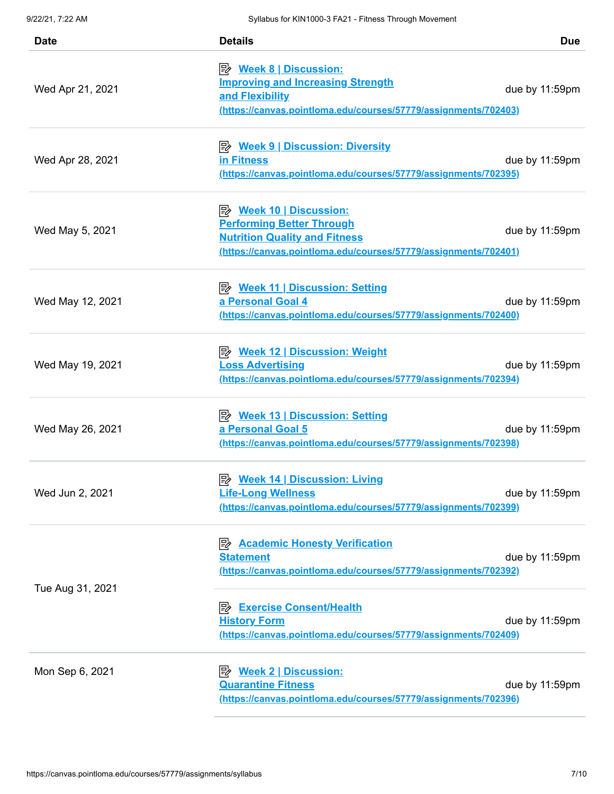| <b>Date</b>      | <b>Details</b>                                                                                                                                         | <b>Due</b>     |
|------------------|--------------------------------------------------------------------------------------------------------------------------------------------------------|----------------|
| Wed Apr 21, 2021 | Veek 8   Discussion:<br><b>Improving and Increasing Strength</b><br>and Flexibility<br>(https://canvas.pointloma.edu/courses/57779/assignments/702403) | due by 11:59pm |
| Wed Apr 28, 2021 | <b>B</b> <u>Week 9   Discussion: Diversity</u><br>in Fitness<br>(https://canvas.pointloma.edu/courses/57779/assignments/702395)                        | due by 11:59pm |
| Wed May 5, 2021  | <b>Performing Better Through</b><br><b>Nutrition Quality and Fitness</b><br>(https://canvas.pointloma.edu/courses/57779/assignments/702401)            | due by 11:59pm |
| Wed May 12, 2021 | <b>B</b> Week 11   Discussion: Setting<br>a Personal Goal 4<br>(https://canvas.pointloma.edu/courses/57779/assignments/702400)                         | due by 11:59pm |
| Wed May 19, 2021 | <b>Loss Advertising</b><br>(https://canvas.pointloma.edu/courses/57779/assignments/702394)                                                             | due by 11:59pm |
| Wed May 26, 2021 | a Personal Goal 5<br>(https://canvas.pointloma.edu/courses/57779/assignments/702398)                                                                   | due by 11:59pm |
| Wed Jun 2, 2021  | <b>B</b> Week 14   Discussion: Living<br><b>Life-Long Wellness</b><br>(https://canvas.pointloma.edu/courses/57779/assignments/702399)                  | due by 11:59pm |
| Tue Aug 31, 2021 | <b>Academic Honesty Verification</b><br><b>Statement</b><br>(https://canvas.pointloma.edu/courses/57779/assignments/702392)                            | due by 11:59pm |
|                  | <b>Exercise Consent/Health</b><br><b>History Form</b><br>(https://canvas.pointloma.edu/courses/57779/assignments/702409)                               | due by 11:59pm |
| Mon Sep 6, 2021  | <b>Quarantine Fitness</b><br>(https://canvas.pointloma.edu/courses/57779/assignments/702396)                                                           | due by 11:59pm |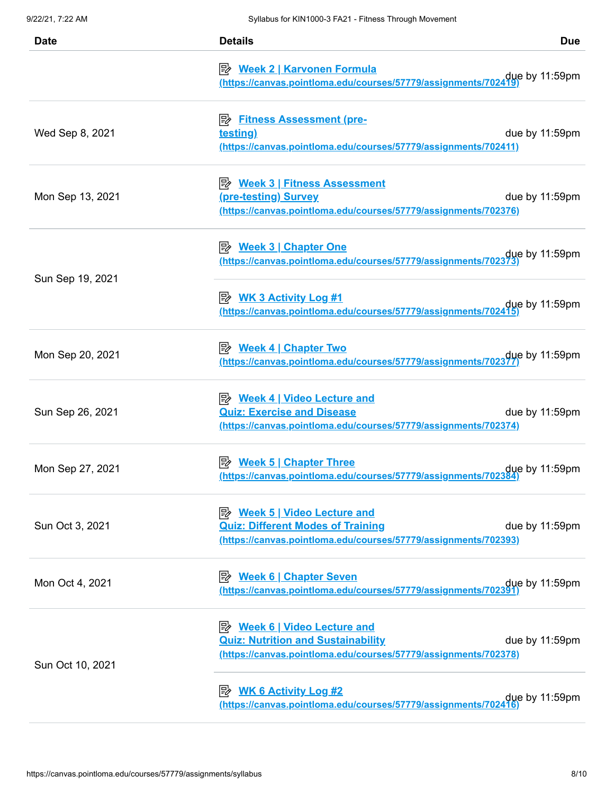| <b>Date</b>      | <b>Details</b>                                                                                                                                     | <b>Due</b>     |
|------------------|----------------------------------------------------------------------------------------------------------------------------------------------------|----------------|
|                  | <b>B</b> Week 2   Karvonen Formula<br>https://canvas.pointloma.edu/courses/57779/assignments/702419                                                | due by 11:59pm |
| Wed Sep 8, 2021  | <u>testing)</u><br>(https://canvas.pointloma.edu/courses/57779/assignments/702411)                                                                 | due by 11:59pm |
| Mon Sep 13, 2021 | <b>B</b> Week 3   Fitness Assessment<br>(pre-testing) Survey<br>(https://canvas.pointloma.edu/courses/57779/assignments/702376)                    | due by 11:59pm |
| Sun Sep 19, 2021 | <b>B</b> Week 3   Chapter One<br>due by 11:59pm (https://canvas.pointloma.edu/courses/57779/assignments/702373)                                    |                |
|                  | ▷ WK 3 Activity Log #1<br>(https://canvas.pointloma.edu/courses/57779/assignments/702415                                                           | due by 11:59pm |
| Mon Sep 20, 2021 | due by 11:59pm (https://canvas.pointloma.edu/courses/57779/assignments/702377)                                                                     |                |
| Sun Sep 26, 2021 | <u>≫ Week 4   Video Lecture and</u><br><b>Quiz: Exercise and Disease</b><br>(https://canvas.pointloma.edu/courses/57779/assignments/702374)        | due by 11:59pm |
| Mon Sep 27, 2021 | <b>B</b> Week 5   Chapter Three<br>due by 11:59pm (https://canvas.pointloma.edu/courses/57779/assignments/702384)                                  |                |
| Sun Oct 3, 2021  | <u>≫ Week 5   Video Lecture and</u><br><b>Quiz: Different Modes of Training</b><br>(https://canvas.pointloma.edu/courses/57779/assignments/702393) | due by 11:59pm |
| Mon Oct 4, 2021  | <b>B</b> Week 6   Chapter Seven<br>due by 11:59pm due to the thes://canvas.pointloma.edu/courses/57779/assignments/702391)                         |                |
| Sun Oct 10, 2021 | <b>Quiz: Nutrition and Sustainability</b><br>(https://canvas.pointloma.edu/courses/57779/assignments/702378)                                       | due by 11:59pm |
|                  | $\Rightarrow$ WK 6 Activity Log #2<br>due by 11:59pm<br>https://canvas.pointloma.edu/courses/57779/assignments/702416)                             |                |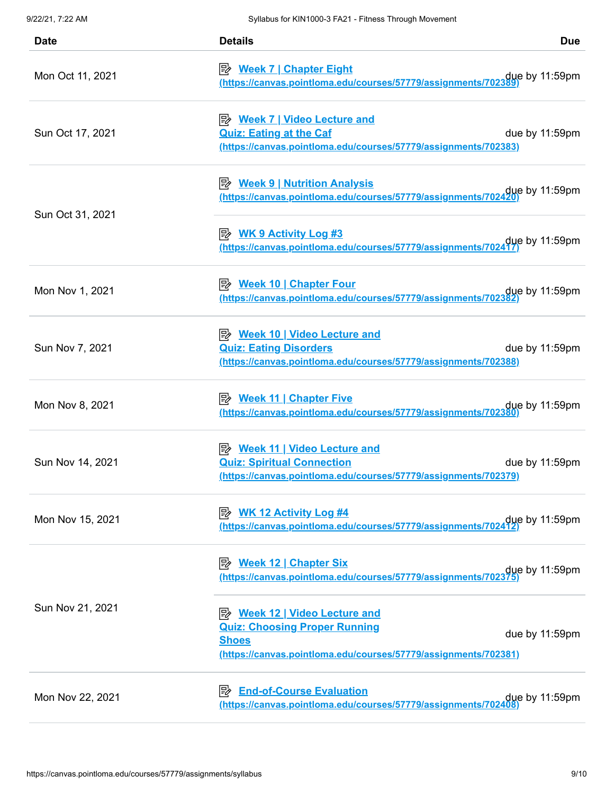| <b>Date</b>      | <b>Details</b>                                                                                                                                                  | <b>Due</b>     |
|------------------|-----------------------------------------------------------------------------------------------------------------------------------------------------------------|----------------|
| Mon Oct 11, 2021 | <b>B</b> Week 7   Chapter Eight<br>due by 11:59pm<br>https://canvas.pointloma.edu/courses/57779/assignments/702389)                                             |                |
| Sun Oct 17, 2021 | <b>B</b> Week 7   Video Lecture and<br><b>Quiz: Eating at the Caf</b><br>(https://canvas.pointloma.edu/courses/57779/assignments/702383)                        | due by 11:59pm |
| Sun Oct 31, 2021 | <u>≫ Week 9   Nutrition Analysis</u><br>oue by 11:59pm<br>https://canvas.pointloma.edu/courses/57779/assignments/702420)                                        |                |
|                  | $\Rightarrow$ WK 9 Activity Log #3<br>(https://canvas.pointloma.edu/courses/57779/assignments/702417                                                            | due by 11:59pm |
| Mon Nov 1, 2021  | <b>B</b> Week 10   Chapter Four<br>due by 11:59pm (https://canvas.pointloma.edu/courses/57779/assignments/702382)                                               |                |
| Sun Nov 7, 2021  | <u> <i>Week</i> 10   Video Lecture and</u><br><b>Quiz: Eating Disorders</b><br>(https://canvas.pointloma.edu/courses/57779/assignments/702388)                  | due by 11:59pm |
| Mon Nov 8, 2021  | due by 11:59pm<br>https://canvas.pointloma.edu/courses/57779/assignments/702380)                                                                                |                |
| Sun Nov 14, 2021 | <u> <i>Week 11</i>   Video Lecture and</u><br><b>Quiz: Spiritual Connection</b><br><u>(https://canvas.pointloma.edu/courses/57779/assignments/702379)</u>       | due by 11:59pm |
| Mon Nov 15, 2021 | <b>WK 12 Activity Log #4</b><br>眕<br>due by 11:59pm due to the thes://canvas.pointloma.edu/courses/57779/assignments/702412)                                    |                |
| Sun Nov 21, 2021 | <b>B</b> Week 12   Chapter Six<br>due by 11:59pm (https://canvas.pointloma.edu/courses/57779/assignments/702375)                                                |                |
|                  | <b>B</b> Week 12   Video Lecture and<br><b>Quiz: Choosing Proper Running</b><br><b>Shoes</b><br>(https://canvas.pointloma.edu/courses/57779/assignments/702381) | due by 11:59pm |
| Mon Nov 22, 2021 | <b>End-of-Course Evaluation</b><br>ぽ<br>https://canvas.pointloma.edu/courses/57779/assignments/702408                                                           | due by 11:59pm |